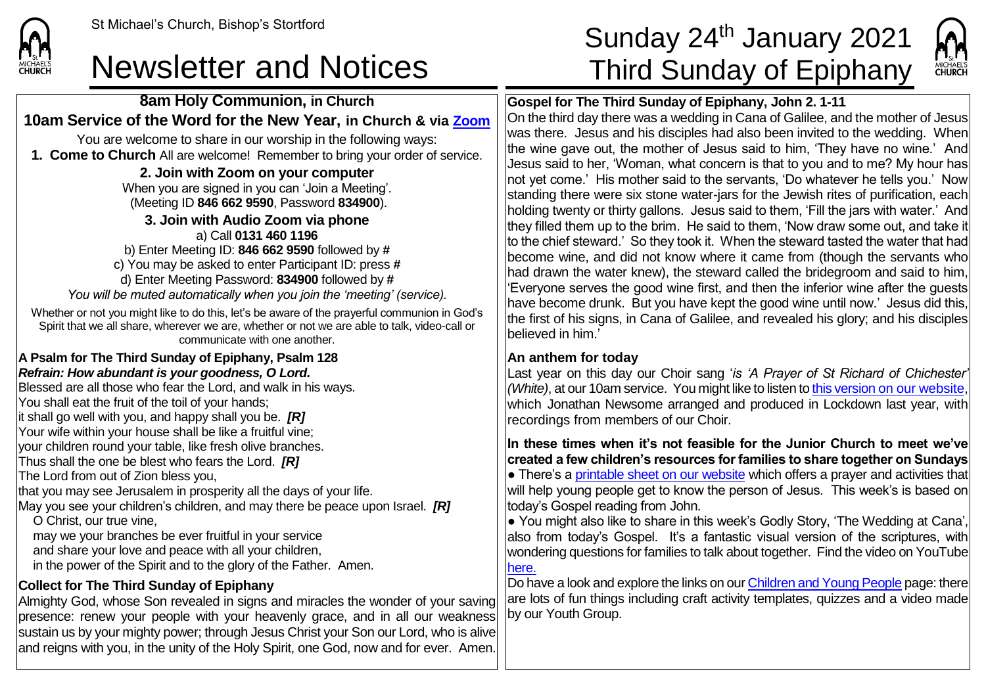

**8am Holy Communion, in Church 10am Service of the Word for the New Year, in Church & via [Zoom](https://zoom.us/)** You are welcome to share in our worship in the following ways: **1. Come to Church** All are welcome! Remember to bring your order of service. **2. Join with Zoom on your computer** When you are signed in you can 'Join a Meeting'. (Meeting ID **846 662 9590**, Password **834900**). **3. Join with Audio Zoom via phone**  a) Call **0131 460 1196** b) Enter Meeting ID: **846 662 9590** followed by **#** c) You may be asked to enter Participant ID: press **#** d) Enter Meeting Password: **834900** followed by **#** *You will be muted automatically when you join the 'meeting' (service).* Whether or not you might like to do this, let's be aware of the prayerful communion in God's Spirit that we all share, wherever we are, whether or not we are able to talk, video-call or communicate with one another. **A Psalm for The Third Sunday of Epiphany, Psalm 128** *Refrain: How abundant is your goodness, O Lord.* Blessed are all those who fear the Lord, and walk in his ways. You shall eat the fruit of the toil of your hands; it shall go well with you, and happy shall you be. *[R]* Your wife within your house shall be like a fruitful vine; your children round your table, like fresh olive branches.

Thus shall the one be blest who fears the Lord. *[R]*

The Lord from out of Zion bless you,

that you may see Jerusalem in prosperity all the days of your life.

May you see your children's children, and may there be peace upon Israel. *[R]*

O Christ, our true vine,

- may we your branches be ever fruitful in your service
- and share your love and peace with all your children,
- in the power of the Spirit and to the glory of the Father. Amen.

## **Collect for The Third Sunday of Epiphany**

Almighty God, whose Son revealed in signs and miracles the wonder of your saving presence: renew your people with your heavenly grace, and in all our weakness sustain us by your mighty power; through Jesus Christ your Son our Lord, who is alive and reigns with you, in the unity of the Holy Spirit, one God, now and for ever. Amen.

# St Michael's Church, Bishop's Stortford **Sunday 24<sup>th</sup> January 2021** Newsletter and Notices Third Sunday of Epiphany



### **Gospel for The Third Sunday of Epiphany, John 2. 1-11**

On the third day there was a wedding in Cana of Galilee, and the mother of Jesus was there. Jesus and his disciples had also been invited to the wedding. When the wine gave out, the mother of Jesus said to him, 'They have no wine.' And Jesus said to her, 'Woman, what concern is that to you and to me? My hour has not yet come.' His mother said to the servants, 'Do whatever he tells you.' Now standing there were six stone water-jars for the Jewish rites of purification, each holding twenty or thirty gallons. Jesus said to them, 'Fill the jars with water.' And they filled them up to the brim. He said to them, 'Now draw some out, and take it to the chief steward.' So they took it. When the steward tasted the water that had become wine, and did not know where it came from (though the servants who had drawn the water knew), the steward called the bridegroom and said to him, 'Everyone serves the good wine first, and then the inferior wine after the guests have become drunk. But you have kept the good wine until now.' Jesus did this, the first of his signs, in Cana of Galilee, and revealed his glory; and his disciples believed in him.'

#### **An anthem for today**

Last year on this day our Choir sang '*is 'A Prayer of St Richard of Chichester' (White)*, at our 10am service. You might like to listen to this version [on our website,](https://saintmichaelweb.org.uk/Groups/310492/Choir.aspx) which Jonathan Newsome arranged and produced in Lockdown last year, with recordings from members of our Choir.

**In these times when it's not feasible for the Junior Church to meet we've created a few children's resources for families to share together on Sundays**   $\bullet$  There's a [printable sheet on our website](https://saintmichaelweb.org.uk/Groups/310496/Children_and_Young.aspx) which offers a prayer and activities that will help young people get to know the person of Jesus. This week's is based on today's Gospel reading from John.

● You might also like to share in this week's Godly Story, 'The Wedding at Cana', also from today's Gospel. It's a fantastic visual version of the scriptures, with wondering questions for families to talk about together. Find the video on YouTube [here.](https://www.youtube.com/watch?v=aERLzzeduj4)

Do have a look and explore the links on ou[r Children and Young People](https://saintmichaelweb.org.uk/Groups/310496/Children_and_Young.aspx) page: there are lots of fun things including craft activity templates, quizzes and a video made by our Youth Group.